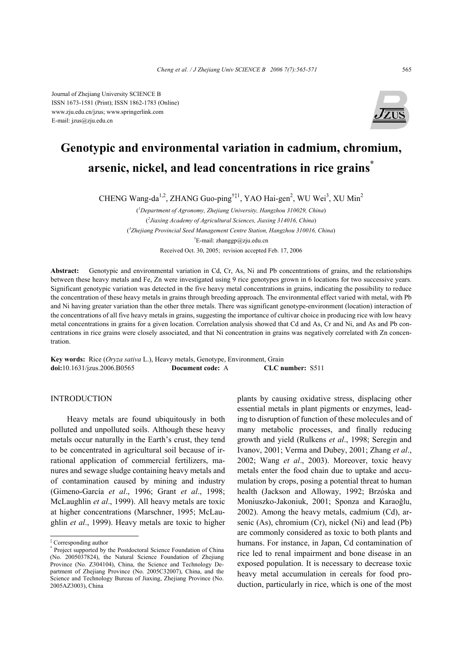Journal of Zhejiang University SCIENCE B ISSN 1673-1581 (Print); ISSN 1862-1783 (Online) www.zju.edu.cn/jzus; www.springerlink.com E-mail: jzus@zju.edu.cn



# **Genotypic and environmental variation in cadmium, chromium, arsenic, nickel, and lead concentrations in rice grains\***

CHENG Wang-da<sup>1,2</sup>, ZHANG Guo-ping<sup>†‡1</sup>, YAO Hai-gen<sup>2</sup>, WU Wei<sup>3</sup>, XU Min<sup>2</sup>

( *1 Department of Agronomy, Zhejiang University, Hangzhou 310029, China*) ( *2 Jiaxing Academy of Agricultural Sciences, Jiaxing 314016, China*) ( *3 Zhejiang Provincial Seed Management Centre Station, Hangzhou 310016, China*) † E-mail: zhanggp@zju.edu.cn Received Oct. 30, 2005; revision accepted Feb. 17, 2006

**Abstract:** Genotypic and environmental variation in Cd, Cr, As, Ni and Pb concentrations of grains, and the relationships between these heavy metals and Fe, Zn were investigated using 9 rice genotypes grown in 6 locations for two successive years. Significant genotypic variation was detected in the five heavy metal concentrations in grains, indicating the possibility to reduce the concentration of these heavy metals in grains through breeding approach. The environmental effect varied with metal, with Pb and Ni having greater variation than the other three metals. There was significant genotype-environment (location) interaction of the concentrations of all five heavy metals in grains, suggesting the importance of cultivar choice in producing rice with low heavy metal concentrations in grains for a given location. Correlation analysis showed that Cd and As, Cr and Ni, and As and Pb concentrations in rice grains were closely associated, and that Ni concentration in grains was negatively correlated with Zn concentration.

**Key words:** Rice (*Oryza sativa* L.), Heavy metals, Genotype, Environment, Grain **doi:**10.1631/jzus.2006.B0565 **Document code:** A **CLC number:** S511

## INTRODUCTION

Heavy metals are found ubiquitously in both polluted and unpolluted soils. Although these heavy metals occur naturally in the Earth's crust, they tend to be concentrated in agricultural soil because of irrational application of commercial fertilizers, manures and sewage sludge containing heavy metals and of contamination caused by mining and industry (Gimeno-García *et al*., 1996; Grant *et al*., 1998; McLaughlin *et al*., 1999). All heavy metals are toxic at higher concentrations (Marschner, 1995; McLaughlin *et al*., 1999). Heavy metals are toxic to higher

plants by causing oxidative stress, displacing other essential metals in plant pigments or enzymes, leading to disruption of function of these molecules and of many metabolic processes, and finally reducing growth and yield (Rulkens *et al*., 1998; Seregin and Ivanov, 2001; Verma and Dubey, 2001; Zhang *et al*., 2002; Wang *et al*., 2003). Moreover, toxic heavy metals enter the food chain due to uptake and accumulation by crops, posing a potential threat to human health (Jackson and Alloway, 1992; Brzóska and Moniuszko-Jakoniuk, 2001; Sponza and Karaoğlu, 2002). Among the heavy metals, cadmium (Cd), arsenic (As), chromium (Cr), nickel (Ni) and lead (Pb) are commonly considered as toxic to both plants and humans. For instance, in Japan, Cd contamination of rice led to renal impairment and bone disease in an exposed population. It is necessary to decrease toxic heavy metal accumulation in cereals for food production, particularly in rice, which is one of the most

<sup>‡</sup> Corresponding author

<sup>\*</sup> Project supported by the Postdoctoral Science Foundation of China (No. 2005037824), the Natural Science Foundation of Zhejiang Province (No. Z304104), China, the Science and Technology Department of Zhejiang Province (No. 2005C32007), China, and the Science and Technology Bureau of Jiaxing, Zhejiang Province (No. 2005AZ3003), China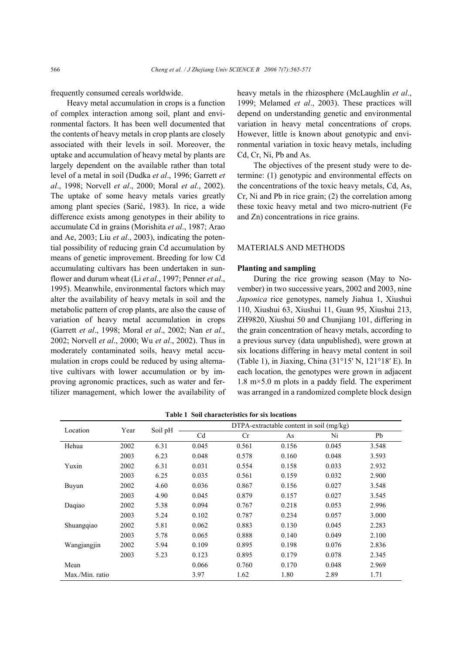frequently consumed cereals worldwide.

Heavy metal accumulation in crops is a function of complex interaction among soil, plant and environmental factors. It has been well documented that the contents of heavy metals in crop plants are closely associated with their levels in soil. Moreover, the uptake and accumulation of heavy metal by plants are largely dependent on the available rather than total level of a metal in soil (Dudka *et al*., 1996; Garrett *et al*., 1998; Norvell *et al*., 2000; Moral *et al*., 2002). The uptake of some heavy metals varies greatly among plant species (Sarić, 1983). In rice, a wide difference exists among genotypes in their ability to accumulate Cd in grains (Morishita *et al*., 1987; Arao and Ae, 2003; Liu *et al*., 2003), indicating the potential possibility of reducing grain Cd accumulation by means of genetic improvement. Breeding for low Cd accumulating cultivars has been undertaken in sunflower and durum wheat (Li *et al*., 1997; Penner *et al*., 1995). Meanwhile, environmental factors which may alter the availability of heavy metals in soil and the metabolic pattern of crop plants, are also the cause of variation of heavy metal accumulation in crops (Garrett *et al*., 1998; Moral *et al*., 2002; Nan *et al*., 2002; Norvell *et al*., 2000; Wu *et al*., 2002). Thus in moderately contaminated soils, heavy metal accumulation in crops could be reduced by using alternative cultivars with lower accumulation or by improving agronomic practices, such as water and fertilizer management, which lower the availability of heavy metals in the rhizosphere (McLaughlin *et al*., 1999; Melamed *et al*., 2003). These practices will depend on understanding genetic and environmental variation in heavy metal concentrations of crops. However, little is known about genotypic and environmental variation in toxic heavy metals, including Cd, Cr, Ni, Pb and As.

The objectives of the present study were to determine: (1) genotypic and environmental effects on the concentrations of the toxic heavy metals, Cd, As, Cr, Ni and Pb in rice grain; (2) the correlation among these toxic heavy metal and two micro-nutrient (Fe and Zn) concentrations in rice grains.

#### MATERIALS AND METHODS

# **Planting and sampling**

During the rice growing season (May to November) in two successive years, 2002 and 2003, nine *Japonica* rice genotypes, namely Jiahua 1, Xiushui 110, Xiushui 63, Xiushui 11, Guan 95, Xiushui 213, ZH9820, Xiushui 50 and Chunjiang 101, differing in the grain concentration of heavy metals, according to a previous survey (data unpublished), were grown at six locations differing in heavy metal content in soil (Table 1), in Jiaxing, China (31°15′ N, 121°18′ E). In each location, the genotypes were grown in adjacent  $1.8 \text{ m} \times 5.0 \text{ m}$  plots in a paddy field. The experiment was arranged in a randomized complete block design

| Location        | Year | Soil pH |                | $DTPA$ -extractable content in soil $(mg/kg)$ |       |       |       |  |  |  |
|-----------------|------|---------|----------------|-----------------------------------------------|-------|-------|-------|--|--|--|
|                 |      |         | C <sub>d</sub> | Cr                                            | As    | Ni    | Pb    |  |  |  |
| Hehua           | 2002 | 6.31    | 0.045          | 0.561                                         | 0.156 | 0.045 | 3.548 |  |  |  |
|                 | 2003 | 6.23    | 0.048          | 0.578                                         | 0.160 | 0.048 | 3.593 |  |  |  |
| Yuxin           | 2002 | 6.31    | 0.031          | 0.554                                         | 0.158 | 0.033 | 2.932 |  |  |  |
|                 | 2003 | 6.25    | 0.035          | 0.561                                         | 0.159 | 0.032 | 2.900 |  |  |  |
| Buyun           | 2002 | 4.60    | 0.036          | 0.867                                         | 0.156 | 0.027 | 3.548 |  |  |  |
|                 | 2003 | 4.90    | 0.045          | 0.879                                         | 0.157 | 0.027 | 3.545 |  |  |  |
| Daqiao          | 2002 | 5.38    | 0.094          | 0.767                                         | 0.218 | 0.053 | 2.996 |  |  |  |
|                 | 2003 | 5.24    | 0.102          | 0.787                                         | 0.234 | 0.057 | 3.000 |  |  |  |
| Shuangqiao      | 2002 | 5.81    | 0.062          | 0.883                                         | 0.130 | 0.045 | 2.283 |  |  |  |
|                 | 2003 | 5.78    | 0.065          | 0.888                                         | 0.140 | 0.049 | 2.100 |  |  |  |
| Wangjangjin     | 2002 | 5.94    | 0.109          | 0.895                                         | 0.198 | 0.076 | 2.836 |  |  |  |
|                 | 2003 | 5.23    | 0.123          | 0.895                                         | 0.179 | 0.078 | 2.345 |  |  |  |
| Mean            |      |         | 0.066          | 0.760                                         | 0.170 | 0.048 | 2.969 |  |  |  |
| Max./Min. ratio |      |         | 3.97           | 1.62                                          | 1.80  | 2.89  | 1.71  |  |  |  |

**Table 1 Soil characteristics for six locations**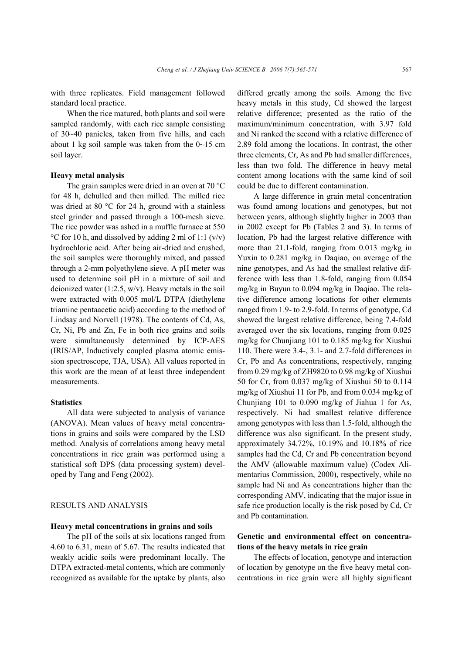with three replicates. Field management followed standard local practice.

When the rice matured, both plants and soil were sampled randomly, with each rice sample consisting of 30~40 panicles, taken from five hills, and each about 1 kg soil sample was taken from the  $0 \sim 15$  cm soil layer.

#### **Heavy metal analysis**

The grain samples were dried in an oven at 70 °C for 48 h, dehulled and then milled. The milled rice was dried at 80 °C for 24 h, ground with a stainless steel grinder and passed through a 100-mesh sieve. The rice powder was ashed in a muffle furnace at 550 °C for 10 h, and dissolved by adding 2 ml of 1:1  $(v/v)$ hydrochloric acid. After being air-dried and crushed, the soil samples were thoroughly mixed, and passed through a 2-mm polyethylene sieve. A pH meter was used to determine soil pH in a mixture of soil and deionized water  $(1:2.5, w/v)$ . Heavy metals in the soil were extracted with 0.005 mol/L DTPA (diethylene triamine pentaacetic acid) according to the method of Lindsay and Norvell (1978). The contents of Cd, As, Cr, Ni, Pb and Zn, Fe in both rice grains and soils were simultaneously determined by ICP-AES (IRIS/AP, Inductively coupled plasma atomic emission spectroscope, TJA, USA). All values reported in this work are the mean of at least three independent measurements.

# **Statistics**

All data were subjected to analysis of variance (ANOVA). Mean values of heavy metal concentrations in grains and soils were compared by the LSD method. Analysis of correlations among heavy metal concentrations in rice grain was performed using a statistical soft DPS (data processing system) developed by Tang and Feng (2002).

#### RESULTS AND ANALYSIS

#### **Heavy metal concentrations in grains and soils**

The pH of the soils at six locations ranged from 4.60 to 6.31, mean of 5.67. The results indicated that weakly acidic soils were predominant locally. The DTPA extracted-metal contents, which are commonly recognized as available for the uptake by plants, also

differed greatly among the soils. Among the five heavy metals in this study, Cd showed the largest relative difference; presented as the ratio of the maximum/minimum concentration, with 3.97 fold and Ni ranked the second with a relative difference of 2.89 fold among the locations. In contrast, the other three elements, Cr, As and Pb had smaller differences, less than two fold. The difference in heavy metal content among locations with the same kind of soil could be due to different contamination.

A large difference in grain metal concentration was found among locations and genotypes, but not between years, although slightly higher in 2003 than in 2002 except for Pb (Tables 2 and 3). In terms of location, Pb had the largest relative difference with more than 21.1-fold, ranging from 0.013 mg/kg in Yuxin to 0.281 mg/kg in Daqiao, on average of the nine genotypes, and As had the smallest relative difference with less than 1.8-fold, ranging from 0.054 mg/kg in Buyun to 0.094 mg/kg in Daqiao. The relative difference among locations for other elements ranged from 1.9- to 2.9-fold. In terms of genotype, Cd showed the largest relative difference, being 7.4-fold averaged over the six locations, ranging from 0.025 mg/kg for Chunjiang 101 to 0.185 mg/kg for Xiushui 110. There were 3.4-, 3.1- and 2.7-fold differences in Cr, Pb and As concentrations, respectively, ranging from 0.29 mg/kg of ZH9820 to 0.98 mg/kg of Xiushui 50 for Cr, from 0.037 mg/kg of Xiushui 50 to 0.114 mg/kg of Xiushui 11 for Pb, and from 0.034 mg/kg of Chunjiang 101 to 0.090 mg/kg of Jiahua 1 for As, respectively. Ni had smallest relative difference among genotypes with less than 1.5-fold, although the difference was also significant. In the present study, approximately 34.72%, 10.19% and 10.18% of rice samples had the Cd, Cr and Pb concentration beyond the AMV (allowable maximum value) (Codex Alimentarius Commission, 2000), respectively, while no sample had Ni and As concentrations higher than the corresponding AMV, indicating that the major issue in safe rice production locally is the risk posed by Cd, Cr and Pb contamination.

# **Genetic and environmental effect on concentrations of the heavy metals in rice grain**

The effects of location, genotype and interaction of location by genotype on the five heavy metal concentrations in rice grain were all highly significant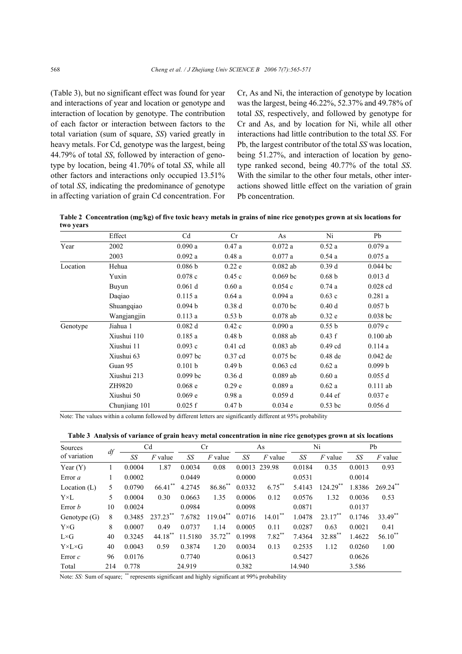(Table 3), but no significant effect was found for year and interactions of year and location or genotype and interaction of location by genotype. The contribution of each factor or interaction between factors to the total variation (sum of square, *SS*) varied greatly in heavy metals. For Cd, genotype was the largest, being 44.79% of total *SS*, followed by interaction of genotype by location, being 41.70% of total *SS*, while all other factors and interactions only occupied 13.51% of total *SS*, indicating the predominance of genotype in affecting variation of grain Cd concentration. For

Cr, As and Ni, the interaction of genotype by location was the largest, being 46.22%, 52.37% and 49.78% of total *SS*, respectively, and followed by genotype for Cr and As, and by location for Ni, while all other interactions had little contribution to the total *SS*. For Pb, the largest contributor of the total *SS* was location, being 51.27%, and interaction of location by genotype ranked second, being 40.77% of the total *SS*. With the similar to the other four metals, other interactions showed little effect on the variation of grain Pb concentration.

**Table 2 Concentration (mg/kg) of five toxic heavy metals in grains of nine rice genotypes grown at six locations for two years** 

|          | Effect        | C <sub>d</sub> | Cr                | As         | Ni                | Pb         |
|----------|---------------|----------------|-------------------|------------|-------------------|------------|
| Year     | 2002          | 0.090a         | 0.47a             | 0.072a     | 0.52a             | 0.079a     |
|          | 2003          | 0.092a         | 0.48a             | 0.077a     | 0.54a             | 0.075a     |
| Location | Hehua         | 0.086 b        | 0.22e             | $0.082$ ab | 0.39d             | $0.044$ bc |
|          | Yuxin         | 0.078c         | 0.45c             | $0.069$ bc | 0.68 <sub>b</sub> | $0.013$ d  |
|          | Buyun         | $0.061$ d      | 0.60a             | 0.054c     | 0.74a             | $0.028$ cd |
|          | Dagiao        | 0.115a         | 0.64a             | 0.094a     | 0.63c             | 0.281a     |
|          | Shuangqiao    | 0.094 b        | 0.38d             | $0.070$ bc | 0.40d             | 0.057 b    |
|          | Wangjangjin   | 0.113a         | 0.53 b            | $0.078$ ab | 0.32e             | $0.038$ bc |
| Genotype | Jiahua 1      | 0.082 d        | 0.42c             | 0.090a     | 0.55 b            | 0.079c     |
|          | Xiushui 110   | 0.185a         | 0.48 <sub>b</sub> | $0.088$ ab | 0.43 f            | $0.100$ ab |
|          | Xiushui 11    | 0.093c         | $0.41$ cd         | $0.083$ ab | $0.49$ cd         | 0.114a     |
|          | Xiushui 63    | $0.097$ bc     | $0.37$ cd         | $0.075$ bc | $0.48$ de         | $0.042$ de |
|          | Guan 95       | 0.101 b        | 0.49 <sub>b</sub> | $0.063$ cd | 0.62a             | 0.099 b    |
|          | Xiushui 213   | $0.099$ bc     | 0.36d             | $0.089$ ab | 0.60a             | 0.055 d    |
|          | ZH9820        | 0.068e         | 0.29 <sub>e</sub> | 0.089a     | 0.62a             | $0.111$ ab |
|          | Xiushui 50    | 0.069 e        | 0.98a             | 0.059d     | $0.44$ ef         | 0.037 e    |
|          | Chunjiang 101 | 0.025 f        | 0.47 <sub>b</sub> | 0.034 e    | $0.53$ bc         | 0.056 d    |

Note: The values within a column followed by different letters are significantly different at 95% probability

|  | Table 3 Analysis of variance of grain heavy metal concentration in nine rice genotypes grown at six locations |  |  |
|--|---------------------------------------------------------------------------------------------------------------|--|--|
|  |                                                                                                               |  |  |
|  |                                                                                                               |  |  |

| Sources               |     | C <sub>d</sub> |             | Cr      |              | As     |               | Ni     |             | Pb     |              |
|-----------------------|-----|----------------|-------------|---------|--------------|--------|---------------|--------|-------------|--------|--------------|
| of variation          | df  | SS             | $F$ value   | SS      | $F$ value    | SS     | $F$ value     | SS     | $F$ value   | SS     | $F$ value    |
| Year $(Y)$            |     | 0.0004         | 1.87        | 0.0034  | 0.08         |        | 0.0013 239.98 | 0.0184 | 0.35        | 0.0013 | 0.93         |
| Error <i>a</i>        |     | 0.0002         |             | 0.0449  |              | 0.0000 |               | 0.0531 |             | 0.0014 |              |
| Location $(L)$        | 5   | 0.0790         | 66.41       | 4.2745  | $86.86^{**}$ | 0.0332 | $6.75***$     | 5.4143 | $124.29$ ** | 1.8386 | $269.24$ **  |
| $Y\times L$           | 5   | 0.0004         | 0.30        | 0.0663  | 1.35         | 0.0006 | 0.12          | 0.0576 | 1.32        | 0.0036 | 0.53         |
| Error <i>b</i>        | 10  | 0.0024         |             | 0.0984  |              | 0.0098 |               | 0.0871 |             | 0.0137 |              |
| Genotype $(G)$        | 8   | 0.3485         | $237.23$ ** | 7.6782  | $119.04***$  | 0.0716 | $14.01***$    | 1.0478 | $23.17***$  | 0.1746 | 33.49**      |
| $Y\times G$           | 8   | 0.0007         | 0.49        | 0.0737  | 1.14         | 0.0005 | 0.11          | 0.0287 | 0.63        | 0.0021 | 0.41         |
| $L\times G$           | 40  | 0.3245         | $44.18***$  | 11.5180 | 35.72**      | 0.1998 | $7.82***$     | 7.4364 | 32.88**     | 1.4622 | $56.10^{**}$ |
| $Y \times L \times G$ | 40  | 0.0043         | 0.59        | 0.3874  | 1.20         | 0.0034 | 0.13          | 0.2535 | 1.12        | 0.0260 | 1.00         |
| Error $c$             | 96  | 0.0176         |             | 0.7740  |              | 0.0613 |               | 0.5427 |             | 0.0626 |              |
| Total                 | 214 | 0.778          |             | 24.919  |              | 0.382  |               | 14.940 |             | 3.586  |              |

Note: *SS:* Sum of square; \*\* represents significant and highly significant at 99% probability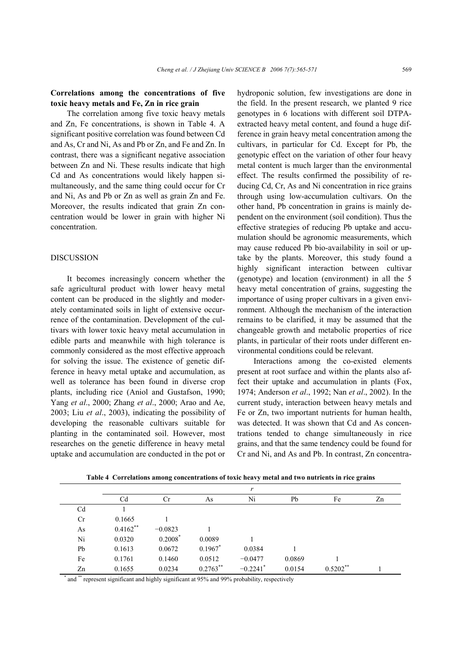# **Correlations among the concentrations of five toxic heavy metals and Fe, Zn in rice grain**

The correlation among five toxic heavy metals and Zn, Fe concentrations, is shown in Table 4. A significant positive correlation was found between Cd and As, Cr and Ni, As and Pb or Zn, and Fe and Zn. In contrast, there was a significant negative association between Zn and Ni. These results indicate that high Cd and As concentrations would likely happen simultaneously, and the same thing could occur for Cr and Ni, As and Pb or Zn as well as grain Zn and Fe. Moreover, the results indicated that grain Zn concentration would be lower in grain with higher Ni concentration.

# DISCUSSION

It becomes increasingly concern whether the safe agricultural product with lower heavy metal content can be produced in the slightly and moderately contaminated soils in light of extensive occurrence of the contamination. Development of the cultivars with lower toxic heavy metal accumulation in edible parts and meanwhile with high tolerance is commonly considered as the most effective approach for solving the issue. The existence of genetic difference in heavy metal uptake and accumulation, as well as tolerance has been found in diverse crop plants, including rice (Aniol and Gustafson, 1990; Yang *et al*., 2000; Zhang *et al*., 2000; Arao and Ae, 2003; Liu *et al*., 2003), indicating the possibility of developing the reasonable cultivars suitable for planting in the contaminated soil. However, most researches on the genetic difference in heavy metal uptake and accumulation are conducted in the pot or

hydroponic solution, few investigations are done in the field. In the present research, we planted 9 rice genotypes in 6 locations with different soil DTPAextracted heavy metal content, and found a huge difference in grain heavy metal concentration among the cultivars, in particular for Cd. Except for Pb, the genotypic effect on the variation of other four heavy metal content is much larger than the environmental effect. The results confirmed the possibility of reducing Cd, Cr, As and Ni concentration in rice grains through using low-accumulation cultivars. On the other hand, Pb concentration in grains is mainly dependent on the environment (soil condition). Thus the effective strategies of reducing Pb uptake and accumulation should be agronomic measurements, which may cause reduced Pb bio-availability in soil or uptake by the plants. Moreover, this study found a highly significant interaction between cultivar (genotype) and location (environment) in all the 5 heavy metal concentration of grains, suggesting the importance of using proper cultivars in a given environment. Although the mechanism of the interaction remains to be clarified, it may be assumed that the changeable growth and metabolic properties of rice plants, in particular of their roots under different environmental conditions could be relevant.

Interactions among the co-existed elements present at root surface and within the plants also affect their uptake and accumulation in plants (Fox, 1974; Anderson *et al*., 1992; Nan *et al*., 2002). In the current study, interaction between heavy metals and Fe or Zn, two important nutrients for human health, was detected. It was shown that Cd and As concentrations tended to change simultaneously in rice grains, and that the same tendency could be found for Cr and Ni, and As and Pb. In contrast, Zn concentra-

|                |            |           |             | r                      |        |            |    |
|----------------|------------|-----------|-------------|------------------------|--------|------------|----|
|                | Cd         | Cr        | As          | Ni                     | Pb     | Fe         | Zn |
| C <sub>d</sub> |            |           |             |                        |        |            |    |
| Cr             | 0.1665     |           |             |                        |        |            |    |
| As             | $0.4162**$ | $-0.0823$ |             |                        |        |            |    |
| Ni             | 0.0320     | 0.2008    | 0.0089      |                        |        |            |    |
| Pb             | 0.1613     | 0.0672    | $0.1967$ *  | 0.0384                 |        |            |    |
| Fe             | 0.1761     | 0.1460    | 0.0512      | $-0.0477$              | 0.0869 |            |    |
| Zn             | 0.1655     | 0.0234    | $0.2763$ ** | $-0.2241$ <sup>*</sup> | 0.0154 | $0.5202**$ |    |

**Table 4 Correlations among concentrations of toxic heavy metal and two nutrients in rice grains** 

\* and \*\* represent significant and highly significant at 95% and 99% probability, respectively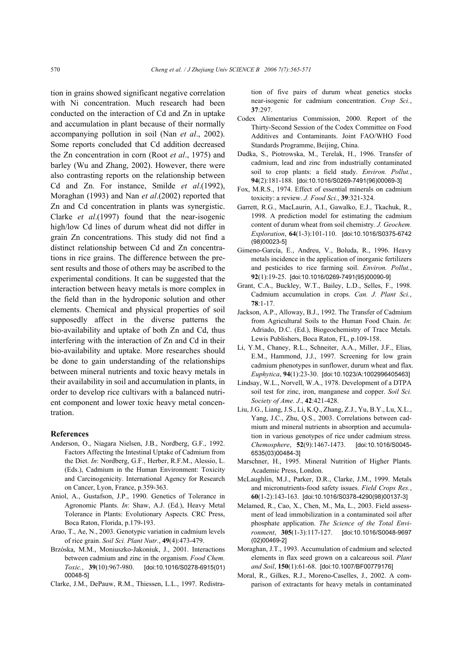tion in grains showed significant negative correlation with Ni concentration. Much research had been conducted on the interaction of Cd and Zn in uptake and accumulation in plant because of their normally accompanying pollution in soil (Nan *et al*., 2002). Some reports concluded that Cd addition decreased the Zn concentration in corn (Root *et al*., 1975) and barley (Wu and Zhang, 2002). However, there were also contrasting reports on the relationship between Cd and Zn. For instance, Smilde *et al*.(1992), Moraghan (1993) and Nan *et al*.(2002) reported that Zn and Cd concentration in plants was synergistic. Clarke *et al*.(1997) found that the near-isogenic high/low Cd lines of durum wheat did not differ in grain Zn concentrations. This study did not find a distinct relationship between Cd and Zn concentrations in rice grains. The difference between the present results and those of others may be ascribed to the experimental conditions. It can be suggested that the interaction between heavy metals is more complex in the field than in the hydroponic solution and other elements. Chemical and physical properties of soil supposedly affect in the diverse patterns the bio-availability and uptake of both Zn and Cd, thus interfering with the interaction of Zn and Cd in their bio-availability and uptake. More researches should be done to gain understanding of the relationships between mineral nutrients and toxic heavy metals in their availability in soil and accumulation in plants, in order to develop rice cultivars with a balanced nutrient component and lower toxic heavy metal concentration.

#### **References**

- Anderson, O., Niagara Nielsen, J.B., Nordberg, G.F., 1992. Factors Affecting the Intestinal Uptake of Cadmium from the Diet. *In*: Nordberg, G.F., Herber, R.F.M., Alessio, L. (Eds.), Cadmium in the Human Environment: Toxicity and Carcinogenicity. International Agency for Research on Cancer, Lyon, France, p.359-363.
- Aniol, A., Gustafson, J.P., 1990. Genetics of Tolerance in Agronomic Plants. *In*: Shaw, A.J. (Ed.), Heavy Metal Tolerance in Plants: Evolutionary Aspects. CRC Press, Boca Raton, Florida, p.179-193.
- Arao, T., Ae, N., 2003. Genotypic variation in cadmium levels of rice grain. *Soil Sci. Plant Nutr.*, **49**(4):473-479.
- Brzóska, M.M., Moniuszko-Jakoniuk, J., 2001. Interactions between cadmium and zinc in the organism. *Food Chem. Toxic.*, **39**(10):967-980. [doi:10.1016/S0278-6915(01) 00048-5]
- Clarke, J.M., DePauw, R.M., Thiessen, L.L., 1997. Redistra-

tion of five pairs of durum wheat genetics stocks near-isogenic for cadmium concentration. *Crop Sci.*, **37**:297.

- Codex Alimentarius Commission, 2000. Report of the Thirty-Second Session of the Codex Committee on Food Additives and Contaminants. Joint FAO/WHO Food Standards Programme, Beijing, China.
- Dudka, S., Piotrowska, M., Terelak, H., 1996. Transfer of cadmium, lead and zinc from industrially contaminated soil to crop plants: a field study. *Environ. Pollut.*, **94**(2):181-188. [doi:10.1016/S0269-7491(96)00069-3]
- Fox, M.R.S., 1974. Effect of essential minerals on cadmium toxicity: a review. *J. Food Sci.*, **39**:321-324.
- Garrett, R.G., MacLaurin, A.I., Gawalko, E.J., Tkachuk, R., 1998. A prediction model for estimating the cadmium content of durum wheat from soil chemistry. *J. Geochem. Exploration*, **64**(1-3):101-110. [doi:10.1016/S0375-6742 (98)00023-5]
- Gimeno-García, E., Andreu, V., Boluda, R., 1996. Heavy metals incidence in the application of inorganic fertilizers and pesticides to rice farming soil. *Environ. Pollut.*, **92**(1):19-25. [doi:10.1016/0269-7491(95)00090-9]
- Grant, C.A., Buckley, W.T., Bailey, L.D., Selles, F., 1998. Cadmium accumulation in crops. *Can. J. Plant Sci.*, **78**:1-17.
- Jackson, A.P., Alloway, B.J., 1992. The Transfer of Cadmium from Agricultural Soils to the Human Food Chain. *In*: Adriado, D.C. (Ed.), Biogeochemistry of Trace Metals. Lewis Publishers, Boca Raton, FL, p.109-158.
- Li, Y.M., Chaney, R.L., Schneiter, A.A., Miller, J.F., Elias, E.M., Hammond, J.J., 1997. Screening for low grain cadmium phenotypes in sunflower, durum wheat and flax. *Euphytica*, **94**(1):23-30. [doi:10.1023/A:1002996405463]
- Lindsay, W.L., Norvell, W.A., 1978. Development of a DTPA soil test for zinc, iron, manganese and copper. *Soil Sci. Society of Ame. J.*, **42**:421-428.
- Liu, J.G., Liang, J.S., Li, K.Q., Zhang, Z.J., Yu, B.Y., Lu, X.L., Yang, J.C., Zhu, Q.S., 2003. Correlations between cadmium and mineral nutrients in absorption and accumulation in various genotypes of rice under cadmium stress. *Chemosphere*, **52**(9):1467-1473. [doi:10.1016/S0045- 6535(03)00484-3]
- Marschner, H., 1995. Mineral Nutrition of Higher Plants. Academic Press, London.
- McLaughlin, M.J., Parker, D.R., Clarke, J.M., 1999. Metals and micronutrients-food safety issues. *Field Crops Res.*, **60**(1-2):143-163. [doi:10.1016/S0378-4290(98)00137-3]
- Melamed, R., Cao, X., Chen, M., Ma, L., 2003. Field assessment of lead immobilization in a contaminated soil after phosphate application. *The Science of the Total Environment*, **305**(1-3):117-127. [doi:10.1016/S0048-9697 (02)00469-2]
- Moraghan, J.T., 1993. Accumulation of cadmium and selected elements in flax seed grown on a calcareous soil. *Plant and Soil*, **150**(1):61-68. [doi:10.1007/BF00779176]
- Moral, R., Gilkes, R.J., Moreno-Caselles, J., 2002. A comparison of extractants for heavy metals in contaminated